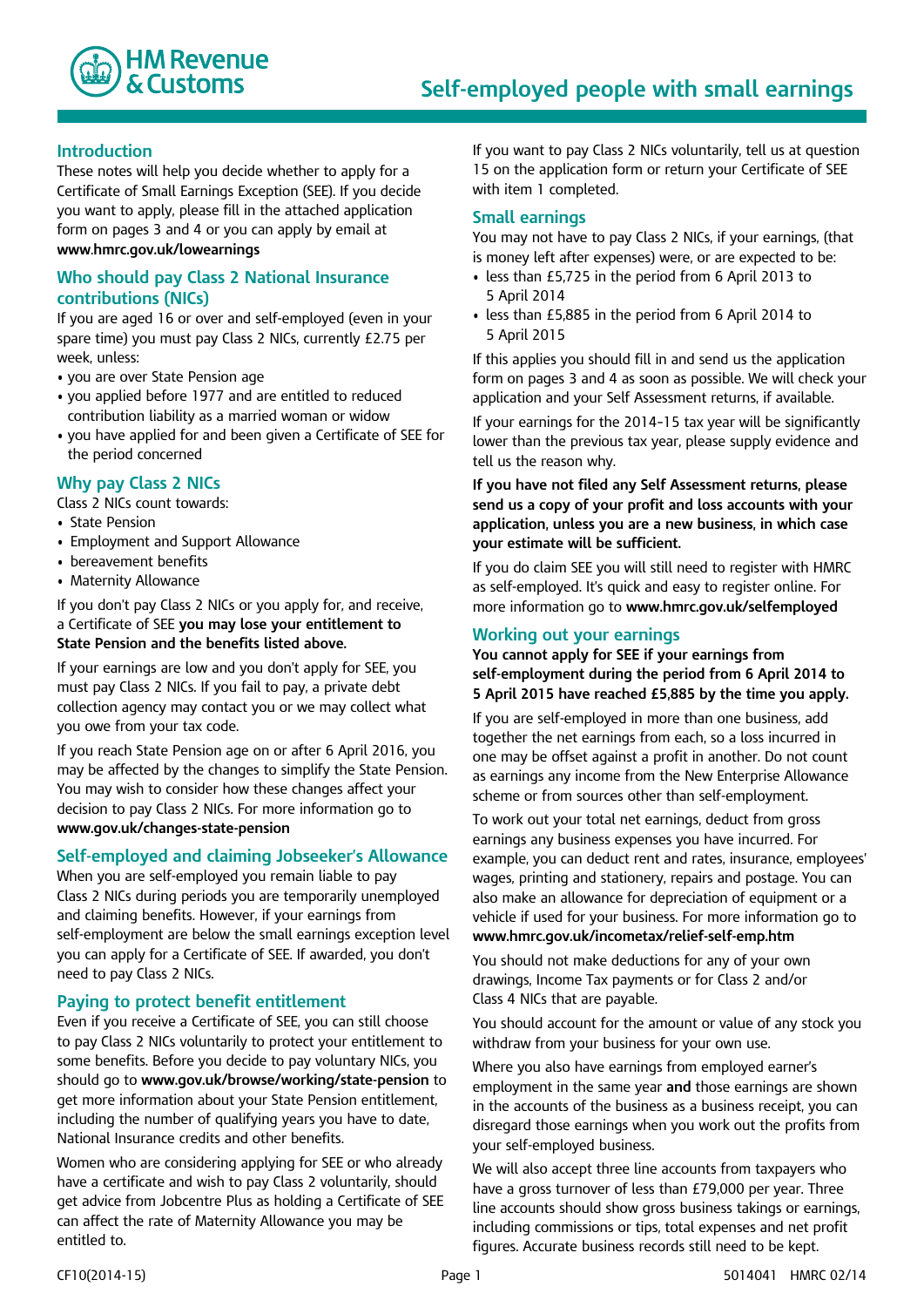

## **Introduction**

These notes will help you decide whether to apply for a Certificate of Small Earnings Exception (SEE). If you decide you want to apply, please fill in the attached application form on pages 3 and 4 or you can apply by email at **www**.**hmrc.gov.uk/lowearnings**

# **Who should pay Class 2 National Insurance contributions (NICs)**

If you are aged 16 or over and self-employed (even in your spare time) you must pay Class 2 NICs, currently £2.75 per week, unless:

- you are over State Pension age
- you applied before 1977 and are entitled to reduced contribution liability as a married woman or widow
- you have applied for and been given a Certificate of SEE for the period concerned

# **Why pay Class 2 NICs**

Class 2 NICs count towards:

- State Pension
- Employment and Support Allowance
- bereavement benefits
- Maternity Allowance

If you don't pay Class 2 NICs or you apply for, and receive, a Certificate of SEE **you may lose your entitlement to State Pension and the benefits listed above.**

If your earnings are low and you don't apply for SEE, you must pay Class 2 NICs. If you fail to pay, a private debt collection agency may contact you or we may collect what you owe from your tax code.

If you reach State Pension age on or after 6 April 2016, you may be affected by the changes to simplify the State Pension. You may wish to consider how these changes affect your decision to pay Class 2 NICs. For more information go to **www.gov.uk/changes-state-pension**

# **Self-employed and claiming Jobseeker's Allowance**

When you are self-employed you remain liable to pay Class 2 NICs during periods you are temporarily unemployed and claiming benefits. However, if your earnings from self-employment are below the small earnings exception level you can apply for a Certificate of SEE. If awarded, you don't need to pay Class 2 NICs.

## **Paying to protect benefit entitlement**

Even if you receive a Certificate of SEE, you can still choose to pay Class 2 NICs voluntarily to protect your entitlement to some benefits. Before you decide to pay voluntary NICs, you should go to **www.gov.uk/browse/working/state-pension** to get more information about your State Pension entitlement, including the number of qualifying years you have to date, National Insurance credits and other benefits.

Women who are considering applying for SEE or who already have a certificate and wish to pay Class 2 voluntarily, should get advice from Jobcentre Plus as holding a Certificate of SEE can affect the rate of Maternity Allowance you may be entitled to.

If you want to pay Class 2 NICs voluntarily, tell us at question 15 on the application form or return your Certificate of SEE with item 1 completed.

## **Small earnings**

You may not have to pay Class 2 NICs, if your earnings, (that is money left after expenses) were, or are expected to be:

- less than £5,725 in the period from 6 April 2013 to 5 April 2014
- less than £5,885 in the period from 6 April 2014 to 5 April 2015

If this applies you should fill in and send us the application form on pages 3 and 4 as soon as possible. We will check your application and your Self Assessment returns, if available.

If your earnings for the 2014–15 tax year will be significantly lower than the previous tax year, please supply evidence and tell us the reason why.

**If you have not filed any Self Assessment returns, please send us a copy of your profit and loss accounts with your application, unless you are a new business, in which case your estimate will be sufficient.**

If you do claim SEE you will still need to register with HMRC as self-employed. It's quick and easy to register online. For more information go to **www.hmrc.gov.uk/selfemployed** 

## **Working out your earnings**

**You cannot apply for SEE if your earnings from self-employment during the period from 6 April 2014 to 5 April 2015 have reached £5,885 by the time you apply.**

If you are self-employed in more than one business, add together the net earnings from each, so a loss incurred in one may be offset against a profit in another. Do not count as earnings any income from the New Enterprise Allowance scheme or from sources other than self-employment.

To work out your total net earnings, deduct from gross earnings any business expenses you have incurred. For example, you can deduct rent and rates, insurance, employees' wages, printing and stationery, repairs and postage. You can also make an allowance for depreciation of equipment or a vehicle if used for your business. For more information go to **www.hmrc.gov.uk/incometax/relief-self-emp.htm**

You should not make deductions for any of your own drawings, Income Tax payments or for Class 2 and/or Class 4 NICs that are payable.

You should account for the amount or value of any stock you withdraw from your business for your own use.

Where you also have earnings from employed earner's employment in the same year **and** those earnings are shown in the accounts of the business as a business receipt, you can disregard those earnings when you work out the profits from your self-employed business.

We will also accept three line accounts from taxpayers who have a gross turnover of less than £79,000 per year. Three line accounts should show gross business takings or earnings, including commissions or tips, total expenses and net profit figures. Accurate business records still need to be kept.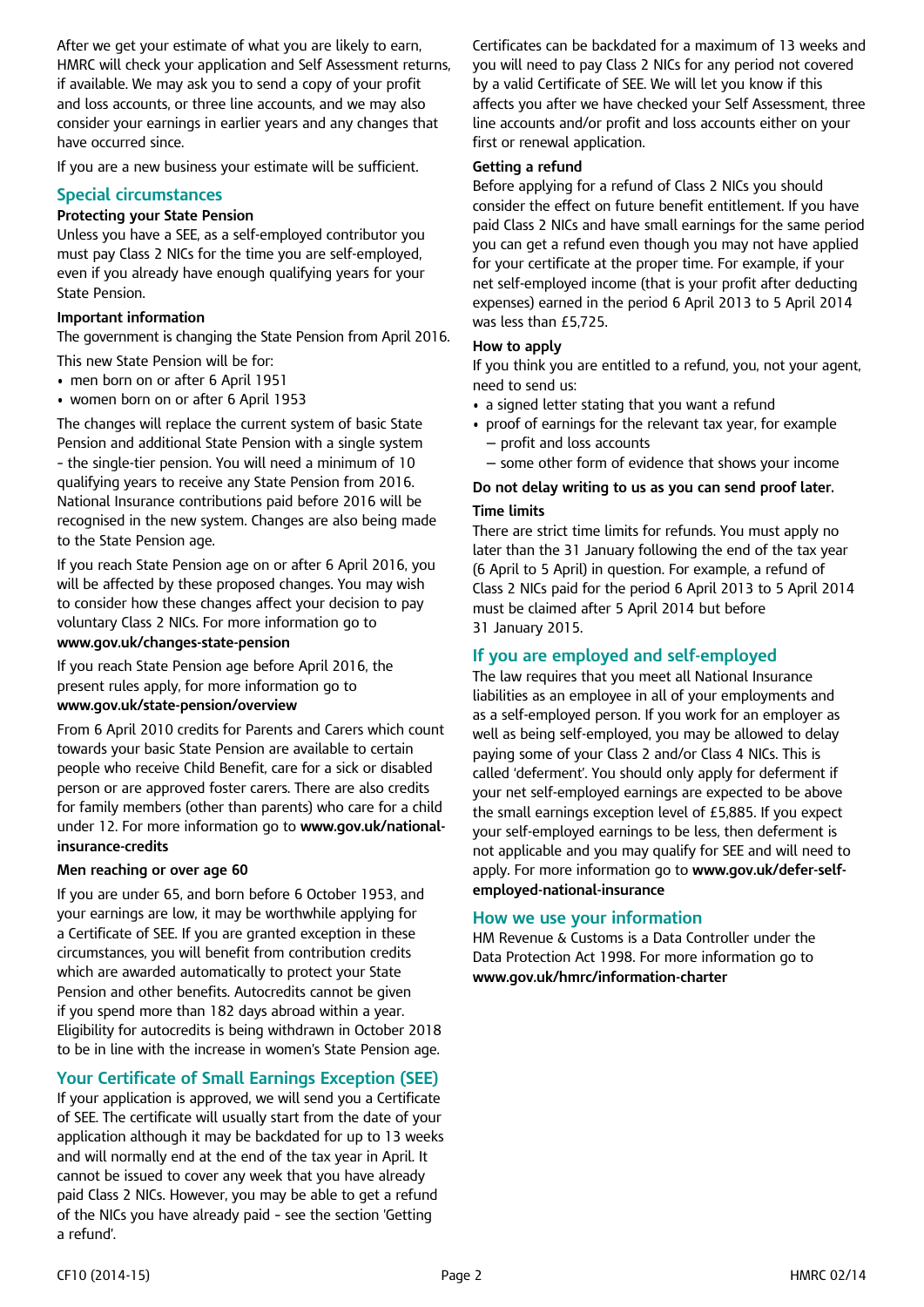After we get your estimate of what you are likely to earn, HMRC will check your application and Self Assessment returns, if available. We may ask you to send a copy of your profit and loss accounts, or three line accounts, and we may also consider your earnings in earlier years and any changes that have occurred since.

If you are a new business your estimate will be sufficient.

# **Special circumstances**

### **Protecting your State Pension**

Unless you have a SEE, as a self-employed contributor you must pay Class 2 NICs for the time you are self-employed, even if you already have enough qualifying years for your State Pension.

### **Important information**

The government is changing the State Pension from April 2016.

This new State Pension will be for:

- men born on or after 6 April 1951
- women born on or after 6 April 1953

The changes will replace the current system of basic State Pension and additional State Pension with a single system – the single-tier pension. You will need a minimum of 10 qualifying years to receive any State Pension from 2016. National Insurance contributions paid before 2016 will be recognised in the new system. Changes are also being made to the State Pension age.

If you reach State Pension age on or after 6 April 2016, you will be affected by these proposed changes. You may wish to consider how these changes affect your decision to pay voluntary Class 2 NICs. For more information go to **www.gov.uk/changes-state-pension**

If you reach State Pension age before April 2016, the present rules apply, for more information go to

# **www.gov.uk/state-pension/overview**

From 6 April 2010 credits for Parents and Carers which count towards your basic State Pension are available to certain people who receive Child Benefit, care for a sick or disabled person or are approved foster carers. There are also credits for family members (other than parents) who care for a child under 12. For more information go to **www.gov.uk/nationalinsurance-credits**

#### **Men reaching or over age 60**

If you are under 65, and born before 6 October 1953, and your earnings are low, it may be worthwhile applying for a Certificate of SEE. If you are granted exception in these circumstances, you will benefit from contribution credits which are awarded automatically to protect your State Pension and other benefits. Autocredits cannot be given if you spend more than 182 days abroad within a year. Eligibility for autocredits is being withdrawn in October 2018 to be in line with the increase in women's State Pension age.

# **Your Certificate of Small Earnings Exception (SEE)**

If your application is approved, we will send you a Certificate of SEE. The certificate will usually start from the date of your application although it may be backdated for up to 13 weeks and will normally end at the end of the tax year in April. It cannot be issued to cover any week that you have already paid Class 2 NICs. However, you may be able to get a refund of the NICs you have already paid – see the section 'Getting a refund'.

Certificates can be backdated for a maximum of 13 weeks and you will need to pay Class 2 NICs for any period not covered by a valid Certificate of SEE. We will let you know if this affects you after we have checked your Self Assessment, three line accounts and/or profit and loss accounts either on your first or renewal application.

### **Getting a refund**

Before applying for a refund of Class 2 NICs you should consider the effect on future benefit entitlement. If you have paid Class 2 NICs and have small earnings for the same period you can get a refund even though you may not have applied for your certificate at the proper time. For example, if your net self-employed income (that is your profit after deducting expenses) earned in the period 6 April 2013 to 5 April 2014 was less than £5,725.

### **How to apply**

If you think you are entitled to a refund, you, not your agent, need to send us:

- a signed letter stating that you want a refund
- proof of earnings for the relevant tax year, for example — profit and loss accounts
- some other form of evidence that shows your income

## **Do not delay writing to us as you can send proof later. Time limits**

There are strict time limits for refunds. You must apply no later than the 31 January following the end of the tax year (6 April to 5 April) in question. For example, a refund of Class 2 NICs paid for the period 6 April 2013 to 5 April 2014 must be claimed after 5 April 2014 but before 31 January 2015.

# **If you are employed and self-employed**

The law requires that you meet all National Insurance liabilities as an employee in all of your employments and as a self-employed person. If you work for an employer as well as being self-employed, you may be allowed to delay paying some of your Class 2 and/or Class 4 NICs. This is called 'deferment'. You should only apply for deferment if your net self-employed earnings are expected to be above the small earnings exception level of £5,885. If you expect your self-employed earnings to be less, then deferment is not applicable and you may qualify for SEE and will need to apply. For more information go to **www.gov.uk/defer-selfemployed-national-insurance**

## **How we use your information**

HM Revenue & Customs is a Data Controller under the Data Protection Act 1998. For more information go to **www.gov.uk/hmrc/information-charter**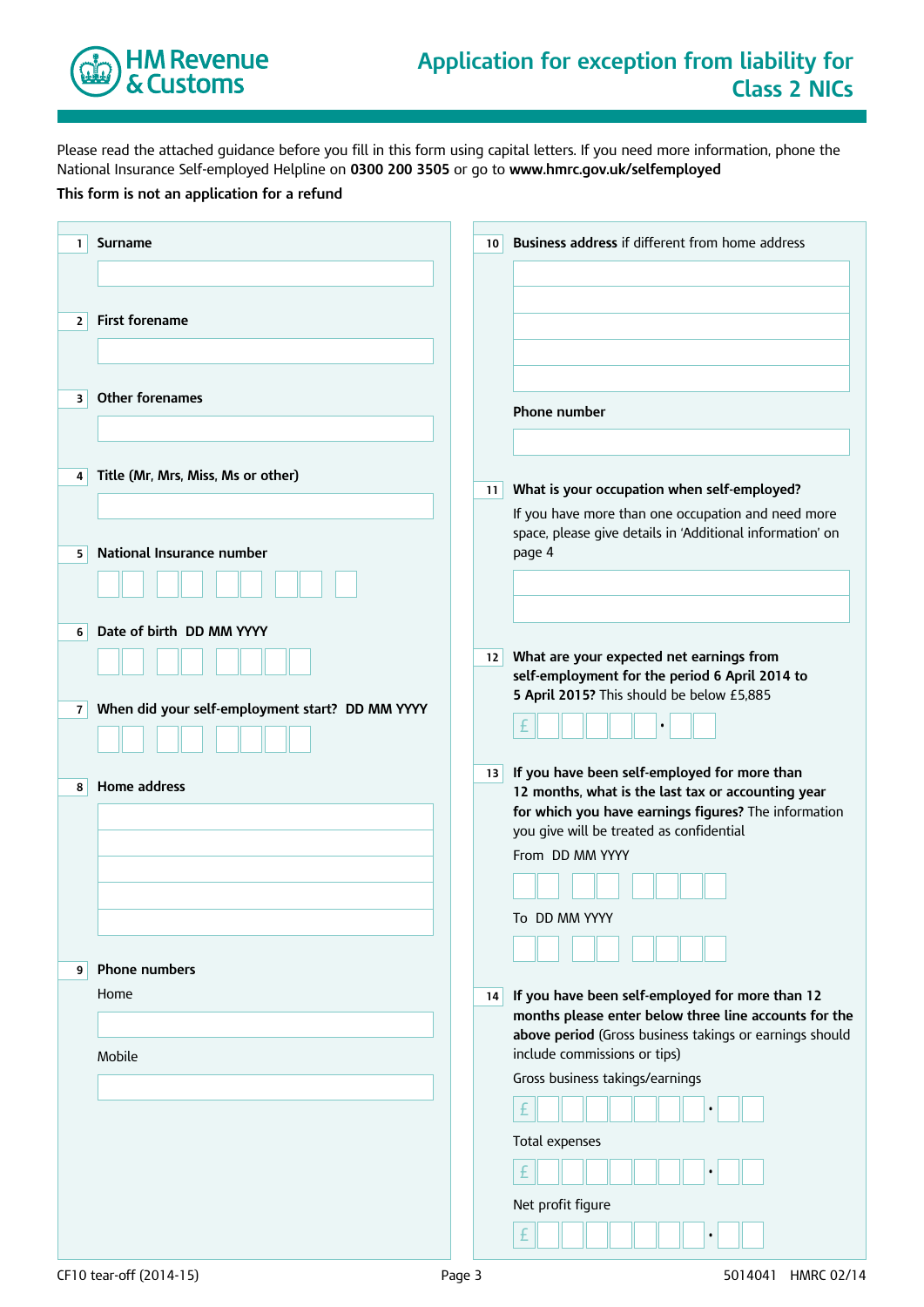

Please read the attached guidance before you fill in this form using capital letters. If you need more information, phone the National Insurance Self-employed Helpline on **0300 200 3505** or go to **www.hmrc.gov.uk/selfemployed**

### **This form is not an application for a refund**

| 1              | <b>Surname</b>                                  | 10 | Business address if different from home address                                                          |
|----------------|-------------------------------------------------|----|----------------------------------------------------------------------------------------------------------|
|                |                                                 |    |                                                                                                          |
|                |                                                 |    |                                                                                                          |
| $\overline{2}$ | <b>First forename</b>                           |    |                                                                                                          |
|                |                                                 |    |                                                                                                          |
| 3              | <b>Other forenames</b>                          |    |                                                                                                          |
|                |                                                 |    | Phone number                                                                                             |
|                |                                                 |    |                                                                                                          |
| 4              | Title (Mr, Mrs, Miss, Ms or other)              | 11 | What is your occupation when self-employed?                                                              |
|                |                                                 |    | If you have more than one occupation and need more                                                       |
| 5              | National Insurance number                       |    | space, please give details in 'Additional information' on<br>page 4                                      |
|                |                                                 |    |                                                                                                          |
|                |                                                 |    |                                                                                                          |
| 6              | Date of birth DD MM YYYY                        |    |                                                                                                          |
|                |                                                 | 12 | What are your expected net earnings from<br>self-employment for the period 6 April 2014 to               |
| $\overline{7}$ | When did your self-employment start? DD MM YYYY |    | 5 April 2015? This should be below £5,885                                                                |
|                |                                                 |    |                                                                                                          |
|                |                                                 | 13 | If you have been self-employed for more than                                                             |
| 8              | Home address                                    |    | 12 months, what is the last tax or accounting year                                                       |
|                |                                                 |    | for which you have earnings figures? The information<br>you give will be treated as confidential         |
|                |                                                 |    | From DD MM YYYY                                                                                          |
|                |                                                 |    |                                                                                                          |
|                |                                                 |    | To DD MM YYYY                                                                                            |
|                |                                                 |    |                                                                                                          |
| 9              | <b>Phone numbers</b>                            |    |                                                                                                          |
|                | Home                                            | 14 | If you have been self-employed for more than 12<br>months please enter below three line accounts for the |
|                |                                                 |    | above period (Gross business takings or earnings should                                                  |
|                | Mobile                                          |    | include commissions or tips)<br>Gross business takings/earnings                                          |
|                |                                                 |    |                                                                                                          |
|                |                                                 |    | Total expenses                                                                                           |
|                |                                                 |    |                                                                                                          |
|                |                                                 |    |                                                                                                          |
|                |                                                 |    | Net profit figure                                                                                        |
|                |                                                 |    | £                                                                                                        |